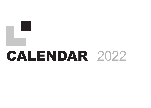## **CALENDAR 2022**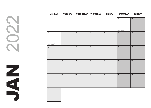JAN  $\bigcirc$  $\overline{\mathbf{C}}$  $\mathbb Z$  $\overline{\mathbf{A}}$  $\Box$ 

| <b>MONDAY</b>                  |    | TUESDAY WEDNESDAY THURSDAY |    | <b>FRIDAY</b> | <b>SATURDAY</b> | <b>SUNDAY</b> |
|--------------------------------|----|----------------------------|----|---------------|-----------------|---------------|
|                                |    |                            |    |               | 01              | 02            |
|                                |    |                            |    |               |                 |               |
|                                |    |                            |    |               |                 |               |
|                                |    |                            |    |               | New Year's Day  |               |
| 03                             | 04 | 05                         | 06 | 07            | 08              | 09            |
|                                |    |                            |    |               |                 |               |
|                                |    |                            |    |               |                 |               |
| New Year's Day<br>Bank Holiday |    |                            |    |               |                 |               |
| 10                             | 11 | 12                         | 13 | 14            | 15              | 16            |
|                                |    |                            |    |               |                 |               |
|                                |    |                            |    |               |                 |               |
|                                | 18 | 19                         | 20 | 21            | 22              | 23            |
| 17                             |    |                            |    |               |                 |               |
|                                |    |                            |    |               |                 |               |
|                                |    |                            |    |               |                 |               |
| 24                             | 25 | 26                         | 27 | 28            | 29              | 30            |
|                                |    |                            |    |               |                 |               |
|                                |    |                            |    |               |                 |               |
|                                |    |                            |    |               |                 |               |
| 31                             |    |                            |    |               |                 |               |
|                                |    |                            |    |               |                 |               |
|                                |    |                            |    |               |                 |               |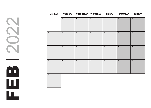$\overline{\mathbf{C}}$ FEB 2022  $\mathbf{\Omega}$  $\bigcirc$  $\mathbf{\Omega}$ m ш u.

|    |    | MONDAY TUESDAY WEDNESDAY THURSDAY |            | <b>FRIDAY</b> | SATURDAY | SUNDAY        |
|----|----|-----------------------------------|------------|---------------|----------|---------------|
|    | 01 | $02\,$                            | 03         | 04            | 05       | 06            |
| 07 | 08 | 09                                | 10         | 11            | 12       | 13            |
| 14 | 15 | ${\bf 16}$                        | $17$       | ${\bf 18}$    | 19       | 20            |
| 21 | 22 | 23                                | ${\bf 24}$ | 25            | 26       | $\mathbf{27}$ |
| 28 |    |                                   |            |               |          |               |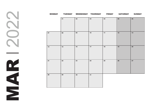MR 2022  $\boldsymbol{\sim}$  $\sum$  $\mathbf{\Omega}$ DZ,  $\blacktriangleleft$ E

|    | MONDAY TUESDAY |            | WEDNESDAY THURSDAY | <b>FRIDAY</b> | <b>SATURDAY</b> | <b>SUNDAY</b> |
|----|----------------|------------|--------------------|---------------|-----------------|---------------|
|    | 01             | 02         | 03                 | 04            | 05              | 06            |
| 07 | 08             | 09         | 10                 | 11            | 12              | 13            |
| 14 | 15             | ${\bf 16}$ | 17                 | 18            | 19              | 20            |
| 21 | 22             | 23         | 24                 | 25            | 26              | 27            |
| 28 | 29             | 30         | 31                 |               |                 |               |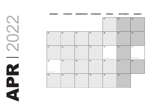|    |               |    | MONDAY TUESDAY WEDNESDAY THURSDAY |    |                   | FRIDAY SATURDAY | SUNDAY              |
|----|---------------|----|-----------------------------------|----|-------------------|-----------------|---------------------|
|    |               |    |                                   |    | 01                | 02              | 03                  |
| 04 |               | 05 | 06                                | 07 | 08                | 09              | 10                  |
| 11 |               | 12 | 13                                | 14 | 15<br>Good Friday | 16              | 17<br>Easter Sunday |
| 18 | Easter Monday | 19 | 20                                | 21 | 22                | 23              | 24                  |
| 25 |               | 26 | 27                                | 28 | 29                | 30              |                     |

**RONAL**  $\bigcirc$  $\overline{\mathbf{C}}$ R  $\mathbf{a}_\mathbf{r}$  $\overline{\textbf{d}}$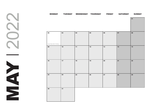MONDAY TUESDAY WEDNESDAY THURSDAY FRIDAY SATURDAY SUNDAY *Early May Bank Holiday*

MAY 2022 NAN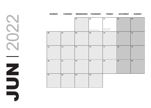$\mathbf{\Omega}$ JUN 2022 N  $\bigcirc$  $\overline{\mathbf{C}}$ Z  $\Box$ 

| <b>MONDAY</b> |    |    | TUESDAY WEDNESDAY THURSDAY | <b>FRIDAY</b>                          | <b>SATURDAY</b> | <b>SUNDAY</b> |
|---------------|----|----|----------------------------|----------------------------------------|-----------------|---------------|
|               |    | 01 | 02<br>Spring Bank Holiday  | 03<br>Platinum Jubilee<br>Bank Holiday | 04              | 05            |
| 06            | 07 | 08 | 09                         | 10                                     | 11              | 12            |
| 13            | 14 | 15 | 16                         | 17                                     | 18              | 19            |
| 20            | 21 | 22 | 23                         | 24                                     | 25              | 26            |
| 27            | 28 | 29 | 30                         |                                        |                 |               |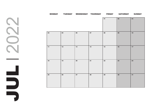|            | MONDAY TUESDAY WEDNESDAY THURSDAY |               |               | <b>FRIDAY</b> | SATURDAY         | <b>SUNDAY</b> |
|------------|-----------------------------------|---------------|---------------|---------------|------------------|---------------|
|            |                                   |               |               | 01            | $02\phantom{.0}$ | 03            |
| 04         | 05                                | 06            | 07            | 08            | 09               | $10$          |
| 11         | $12$                              | 13            | 14            | 15            | 16               | $17$          |
| ${\bf 18}$ | 19                                | 20            | $\mathbf{21}$ | 22            | 23               | 24            |
| 25         | 26                                | $\mathbf{27}$ | 28            | 29            | 30               | 31            |

JUL an di Kabupatén Ing  $\Box$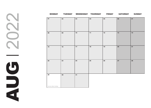AUG 12022  $\bigcirc$  $\overline{\mathbf{C}}$  $\mathbf{C}$ R

| <b>MONDAY</b>             |            | TUESDAY WEDNESDAY THURSDAY |    | <b>FRIDAY</b> | <b>SATURDAY</b> | <b>SUNDAY</b> |
|---------------------------|------------|----------------------------|----|---------------|-----------------|---------------|
| 01                        | 02         | 03                         | 04 | 05            | 06              | 07            |
| 08                        | 09         | $10$                       | 11 | $12$          | $13$            | 14            |
| ${\bf 15}$                | ${\bf 16}$ | $17$                       | 18 | 19            | 20              | ${\bf 21}$    |
| ${\bf 22}$                | 23         | 24                         | 25 | 26            | ${\bf 27}$      | 28            |
| 29<br>Summer Bank Holiday | 30         | 31                         |    |               |                 |               |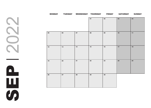|    |            |    | MONDAY TUESDAY WEDNESDAY THURSDAY | <b>FRIDAY</b> | <b>SATURDAY</b> | <b>SUNDAY</b> |
|----|------------|----|-----------------------------------|---------------|-----------------|---------------|
|    |            |    | 01                                | $\bf 02$      | 03              | 04            |
| 05 | 06         | 07 | 08                                | 09            | $10$            | 11            |
| 12 | 13         | 14 | ${\bf 15}$                        | $16$          | $17$            | ${\bf 18}$    |
| 19 | 20         | 21 | $\bf 22$                          | 23            | 24              | 25            |
| 26 | ${\bf 27}$ | 28 | 29                                | $\bf{30}$     |                 |               |

SEP 2022  $\sim$  $\overline{\mathbf{C}}$  $\overline{\bigcirc}$  $\mathbf{\Omega}$ ш  $\boldsymbol{\omega}$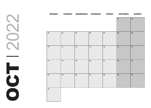| <b>MONDAY</b> |    | TUESDAY WEDNESDAY THURSDAY |    | <b>FRIDAY</b> | SATURDAY SUNDAY |    |
|---------------|----|----------------------------|----|---------------|-----------------|----|
|               |    |                            |    |               | 01              | 02 |
|               |    |                            |    |               |                 |    |
| 03            | 04 | 05                         | 06 | 07            | 08              | 09 |
|               |    |                            |    |               |                 |    |
|               |    |                            |    |               |                 |    |
| $10$          | 11 | $12$                       | 13 | 14            | 15              | 16 |
|               |    |                            |    |               |                 |    |
|               |    |                            |    |               |                 |    |
| $17\,$        | 18 | 19                         | 20 | $\mathbf{21}$ | 22              | 23 |
|               |    |                            |    |               |                 |    |
|               |    |                            |    |               |                 |    |
| 24            | 25 | 26                         | 27 | 28            | 29              | 30 |
|               |    |                            |    |               |                 |    |
|               |    |                            |    |               |                 |    |
| 31            |    |                            |    |               |                 |    |
|               |    |                            |    |               |                 |    |

 $\mathbf{\Omega}$ OCT 2022 S  $\overline{\mathbf{C}}$ ┣  $\mathbf{\bar{C}}$  $\bigcirc$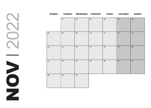$\mathbf{\Omega}$ NOV 2022  $\overline{\mathbf{C}}$  $\bigcirc$  $\overline{\mathbf{C}}$ TO Z

|    |            | MONDAY TUESDAY WEDNESDAY THURSDAY FRIDAY |      |            | SATURDAY | SUNDAY        |
|----|------------|------------------------------------------|------|------------|----------|---------------|
|    | 01         | 02                                       | 03   | 04         | 05       | 06            |
| 07 | 08         | 09                                       | 10   | 11         | 12       | 13            |
| 14 | 15         | 16                                       | $17$ | ${\bf 18}$ | 19       | 20            |
| 21 | ${\bf 22}$ | 23                                       | 24   | 25         | 26       | $\mathbf{27}$ |
| 28 | 29         | 30                                       |      |            |          |               |